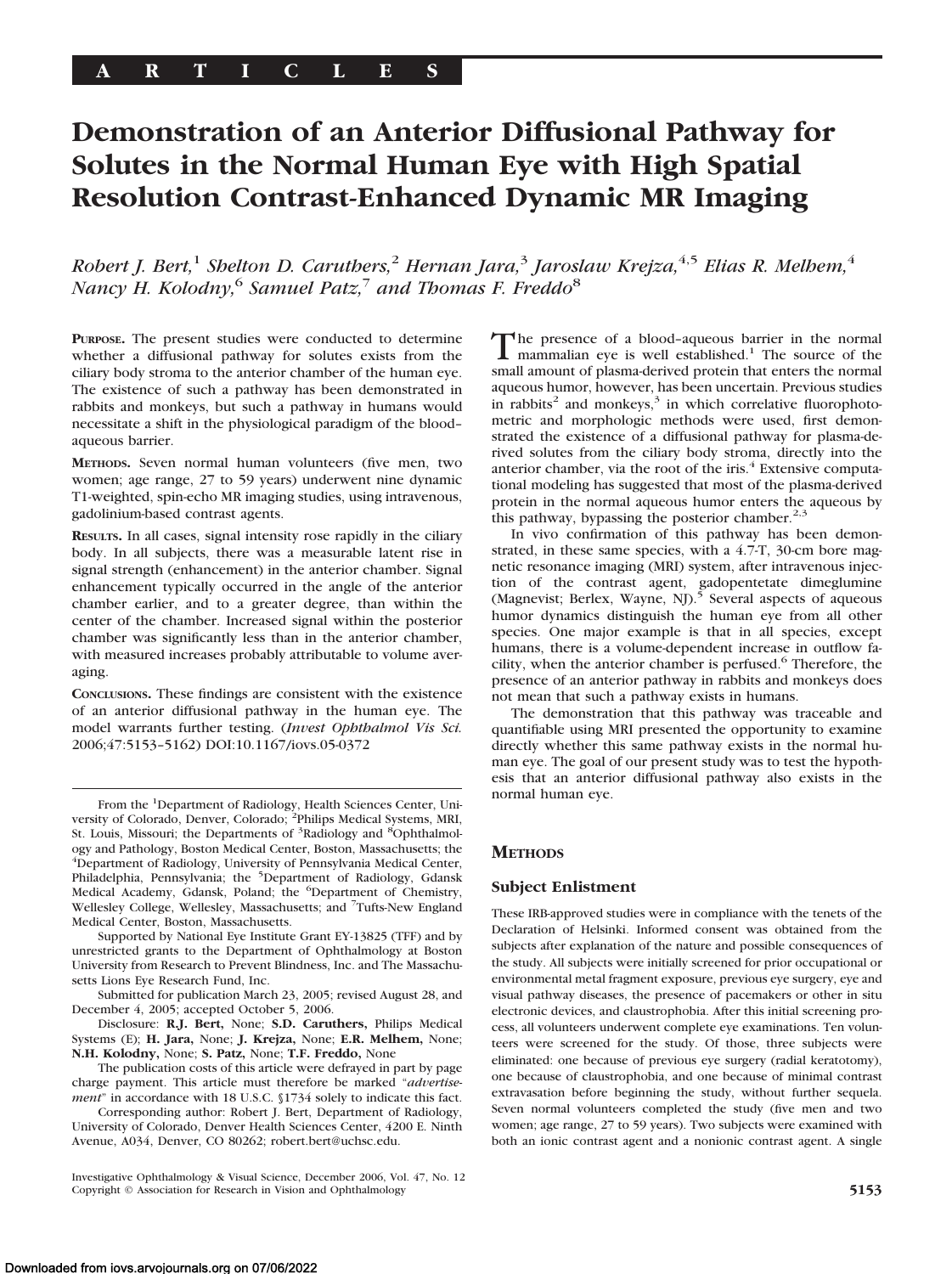# **Demonstration of an Anterior Diffusional Pathway for Solutes in the Normal Human Eye with High Spatial Resolution Contrast-Enhanced Dynamic MR Imaging**

*Robert J. Bert,*<sup>1</sup> *Shelton D. Caruthers,*<sup>2</sup> *Hernan Jara,*<sup>3</sup> *Jaroslaw Krejza,*4,5 *Elias R. Melhem,*<sup>4</sup> *Nancy H. Kolodny,*<sup>6</sup> *Samuel Patz,*<sup>7</sup> *and Thomas F. Freddo*<sup>8</sup>

**PURPOSE.** The present studies were conducted to determine whether a diffusional pathway for solutes exists from the ciliary body stroma to the anterior chamber of the human eye. The existence of such a pathway has been demonstrated in rabbits and monkeys, but such a pathway in humans would necessitate a shift in the physiological paradigm of the blood– aqueous barrier.

**METHODS.** Seven normal human volunteers (five men, two women; age range, 27 to 59 years) underwent nine dynamic T1-weighted, spin-echo MR imaging studies, using intravenous, gadolinium-based contrast agents.

**RESULTS.** In all cases, signal intensity rose rapidly in the ciliary body. In all subjects, there was a measurable latent rise in signal strength (enhancement) in the anterior chamber. Signal enhancement typically occurred in the angle of the anterior chamber earlier, and to a greater degree, than within the center of the chamber. Increased signal within the posterior chamber was significantly less than in the anterior chamber, with measured increases probably attributable to volume averaging.

**CONCLUSIONS.** These findings are consistent with the existence of an anterior diffusional pathway in the human eye. The model warrants further testing. (*Invest Ophthalmol Vis Sci.* 2006;47:5153–5162) DOI:10.1167/iovs.05-0372

From the <sup>1</sup>Department of Radiology, Health Sciences Center, University of Colorado, Denver, Colorado; <sup>2</sup>Philips Medical Systems, MRI, St. Louis, Missouri; the Departments of <sup>3</sup>Radiology and <sup>8</sup>Ophthalmology and Pathology, Boston Medical Center, Boston, Massachusetts; the 4 Department of Radiology, University of Pennsylvania Medical Center, Philadelphia, Pennsylvania; the <sup>5</sup>Department of Radiology, Gdansk Medical Academy, Gdansk, Poland; the <sup>6</sup>Department of Chemistry, Wellesley College, Wellesley, Massachusetts; and <sup>7</sup>Tufts-New England Medical Center, Boston, Massachusetts.

Supported by National Eye Institute Grant EY-13825 (TFF) and by unrestricted grants to the Department of Ophthalmology at Boston University from Research to Prevent Blindness, Inc. and The Massachusetts Lions Eye Research Fund, Inc.

Submitted for publication March 23, 2005; revised August 28, and December 4, 2005; accepted October 5, 2006.

Disclosure: **R.J. Bert,** None; **S.D. Caruthers,** Philips Medical Systems (E); **H. Jara,** None; **J. Krejza,** None; **E.R. Melhem,** None; **N.H. Kolodny,** None; **S. Patz,** None; **T.F. Freddo,** None

The publication costs of this article were defrayed in part by page charge payment. This article must therefore be marked "*advertisement*" in accordance with 18 U.S.C. §1734 solely to indicate this fact.

Corresponding author: Robert J. Bert, Department of Radiology, University of Colorado, Denver Health Sciences Center, 4200 E. Ninth Avenue, A034, Denver, CO 80262; robert.bert@uchsc.edu.

Investigative Ophthalmology & Visual Science, December 2006, Vol. 47, No. 12 Copyright © Association for Research in Vision and Ophthalmology **5153**

The presence of a blood-aqueous barrier in the normal<br>mammalian eye is well established.<sup>1</sup> The source of the small amount of plasma-derived protein that enters the normal aqueous humor, however, has been uncertain. Previous studies in rabbits<sup>2</sup> and monkeys,<sup>3</sup> in which correlative fluorophotometric and morphologic methods were used, first demonstrated the existence of a diffusional pathway for plasma-derived solutes from the ciliary body stroma, directly into the anterior chamber, via the root of the iris.<sup>4</sup> Extensive computational modeling has suggested that most of the plasma-derived protein in the normal aqueous humor enters the aqueous by this pathway, bypassing the posterior chamber. $2,3$ 

In vivo confirmation of this pathway has been demonstrated, in these same species, with a 4.7-T, 30-cm bore magnetic resonance imaging (MRI) system, after intravenous injection of the contrast agent, gadopentetate dimeglumine (Magnevist; Berlex, Wayne, NJ).<sup>5</sup> Several aspects of aqueous humor dynamics distinguish the human eye from all other species. One major example is that in all species, except humans, there is a volume-dependent increase in outflow facility, when the anterior chamber is perfused.<sup>6</sup> Therefore, the presence of an anterior pathway in rabbits and monkeys does not mean that such a pathway exists in humans.

The demonstration that this pathway was traceable and quantifiable using MRI presented the opportunity to examine directly whether this same pathway exists in the normal human eye. The goal of our present study was to test the hypothesis that an anterior diffusional pathway also exists in the normal human eye.

#### **METHODS**

#### **Subject Enlistment**

These IRB-approved studies were in compliance with the tenets of the Declaration of Helsinki. Informed consent was obtained from the subjects after explanation of the nature and possible consequences of the study. All subjects were initially screened for prior occupational or environmental metal fragment exposure, previous eye surgery, eye and visual pathway diseases, the presence of pacemakers or other in situ electronic devices, and claustrophobia. After this initial screening process, all volunteers underwent complete eye examinations. Ten volunteers were screened for the study. Of those, three subjects were eliminated: one because of previous eye surgery (radial keratotomy), one because of claustrophobia, and one because of minimal contrast extravasation before beginning the study, without further sequela. Seven normal volunteers completed the study (five men and two women; age range, 27 to 59 years). Two subjects were examined with both an ionic contrast agent and a nonionic contrast agent. A single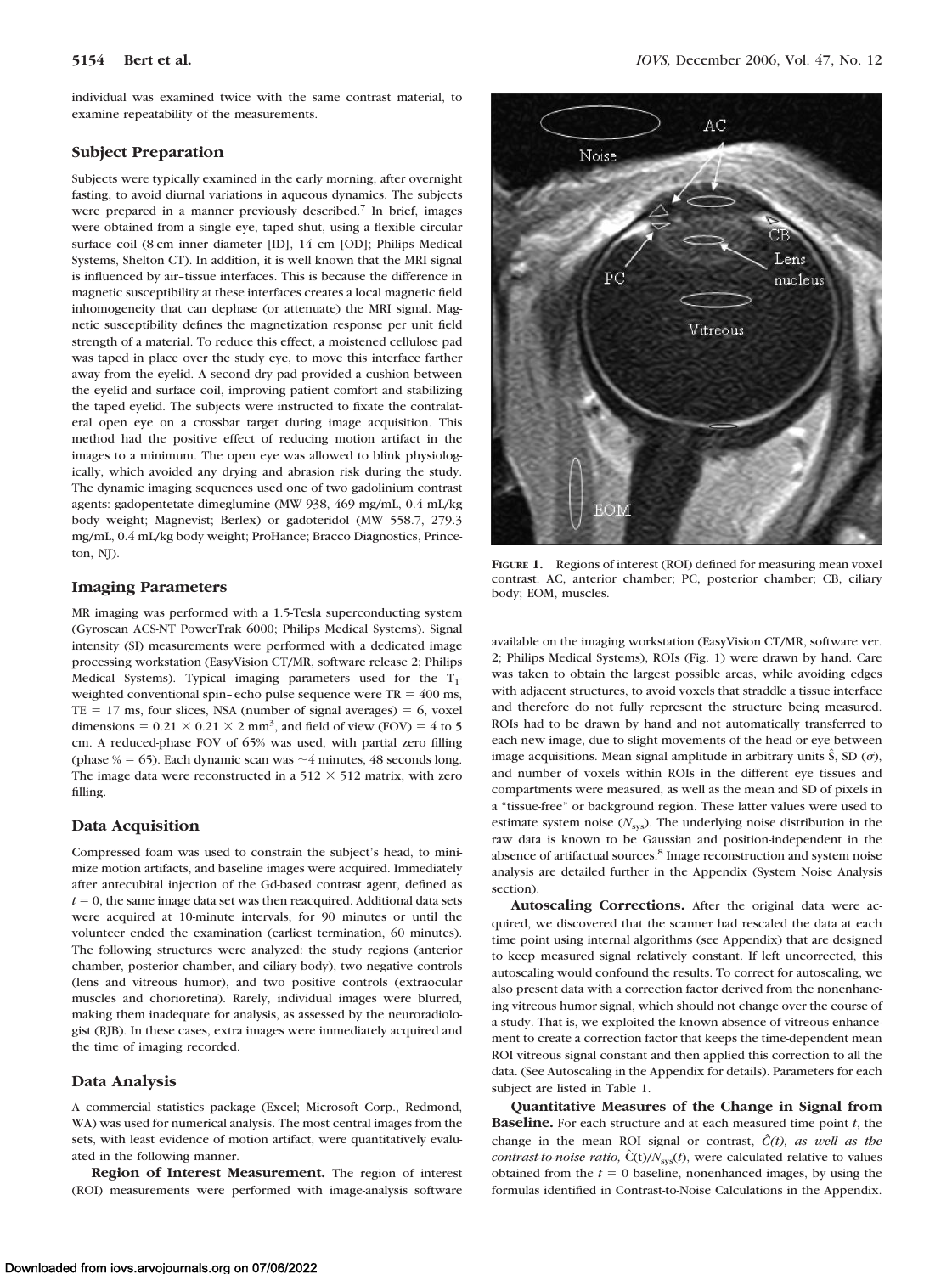individual was examined twice with the same contrast material, to examine repeatability of the measurements.

#### **Subject Preparation**

Subjects were typically examined in the early morning, after overnight fasting, to avoid diurnal variations in aqueous dynamics. The subjects were prepared in a manner previously described.<sup>7</sup> In brief, images were obtained from a single eye, taped shut, using a flexible circular surface coil (8-cm inner diameter [ID], 14 cm [OD]; Philips Medical Systems, Shelton CT). In addition, it is well known that the MRI signal is influenced by air–tissue interfaces. This is because the difference in magnetic susceptibility at these interfaces creates a local magnetic field inhomogeneity that can dephase (or attenuate) the MRI signal. Magnetic susceptibility defines the magnetization response per unit field strength of a material. To reduce this effect, a moistened cellulose pad was taped in place over the study eye, to move this interface farther away from the eyelid. A second dry pad provided a cushion between the eyelid and surface coil, improving patient comfort and stabilizing the taped eyelid. The subjects were instructed to fixate the contralateral open eye on a crossbar target during image acquisition. This method had the positive effect of reducing motion artifact in the images to a minimum. The open eye was allowed to blink physiologically, which avoided any drying and abrasion risk during the study. The dynamic imaging sequences used one of two gadolinium contrast agents: gadopentetate dimeglumine (MW 938, 469 mg/mL, 0.4 mL/kg body weight; Magnevist; Berlex) or gadoteridol (MW 558.7, 279.3 mg/mL, 0.4 mL/kg body weight; ProHance; Bracco Diagnostics, Princeton, NJ).

### **Imaging Parameters**

MR imaging was performed with a 1.5-Tesla superconducting system (Gyroscan ACS-NT PowerTrak 6000; Philips Medical Systems). Signal intensity (SI) measurements were performed with a dedicated image processing workstation (EasyVision CT/MR, software release 2; Philips Medical Systems). Typical imaging parameters used for the T<sub>1</sub>weighted conventional spin–echo pulse sequence were  $TR = 400$  ms,  $TE = 17$  ms, four slices, NSA (number of signal averages) = 6, voxel dimensions =  $0.21 \times 0.21 \times 2$  mm<sup>3</sup>, and field of view (FOV) = 4 to 5 cm. A reduced-phase FOV of 65% was used, with partial zero filling (phase  $% = 65$ ). Each dynamic scan was  $\sim$  4 minutes, 48 seconds long. The image data were reconstructed in a  $512 \times 512$  matrix, with zero filling.

#### **Data Acquisition**

Compressed foam was used to constrain the subject's head, to minimize motion artifacts, and baseline images were acquired. Immediately after antecubital injection of the Gd-based contrast agent, defined as  $t = 0$ , the same image data set was then reacquired. Additional data sets were acquired at 10-minute intervals, for 90 minutes or until the volunteer ended the examination (earliest termination, 60 minutes). The following structures were analyzed: the study regions (anterior chamber, posterior chamber, and ciliary body), two negative controls (lens and vitreous humor), and two positive controls (extraocular muscles and chorioretina). Rarely, individual images were blurred, making them inadequate for analysis, as assessed by the neuroradiologist (RJB). In these cases, extra images were immediately acquired and the time of imaging recorded.

#### **Data Analysis**

A commercial statistics package (Excel; Microsoft Corp., Redmond, WA) was used for numerical analysis. The most central images from the sets, with least evidence of motion artifact, were quantitatively evaluated in the following manner.

**Region of Interest Measurement.** The region of interest (ROI) measurements were performed with image-analysis software



**FIGURE 1.** Regions of interest (ROI) defined for measuring mean voxel contrast. AC, anterior chamber; PC, posterior chamber; CB, ciliary body; EOM, muscles.

available on the imaging workstation (EasyVision CT/MR, software ver. 2; Philips Medical Systems), ROIs (Fig. 1) were drawn by hand. Care was taken to obtain the largest possible areas, while avoiding edges with adjacent structures, to avoid voxels that straddle a tissue interface and therefore do not fully represent the structure being measured. ROIs had to be drawn by hand and not automatically transferred to each new image, due to slight movements of the head or eye between image acquisitions. Mean signal amplitude in arbitrary units  $\hat{S}$ , SD  $(\sigma)$ , and number of voxels within ROIs in the different eye tissues and compartments were measured, as well as the mean and SD of pixels in a "tissue-free" or background region. These latter values were used to estimate system noise  $(N_{sys})$ . The underlying noise distribution in the raw data is known to be Gaussian and position-independent in the absence of artifactual sources.<sup>8</sup> Image reconstruction and system noise analysis are detailed further in the Appendix (System Noise Analysis section).

**Autoscaling Corrections.** After the original data were acquired, we discovered that the scanner had rescaled the data at each time point using internal algorithms (see Appendix) that are designed to keep measured signal relatively constant. If left uncorrected, this autoscaling would confound the results. To correct for autoscaling, we also present data with a correction factor derived from the nonenhancing vitreous humor signal, which should not change over the course of a study. That is, we exploited the known absence of vitreous enhancement to create a correction factor that keeps the time-dependent mean ROI vitreous signal constant and then applied this correction to all the data. (See Autoscaling in the Appendix for details). Parameters for each subject are listed in Table 1.

**Quantitative Measures of the Change in Signal from Baseline.** For each structure and at each measured time point *t*, the change in the mean ROI signal or contrast,  $\hat{C}(t)$ , as well as the *contrast-to-noise ratio,*  $\hat{C}(t)/N_{sys}(t)$ , were calculated relative to values obtained from the  $t = 0$  baseline, nonenhanced images, by using the formulas identified in Contrast-to-Noise Calculations in the Appendix.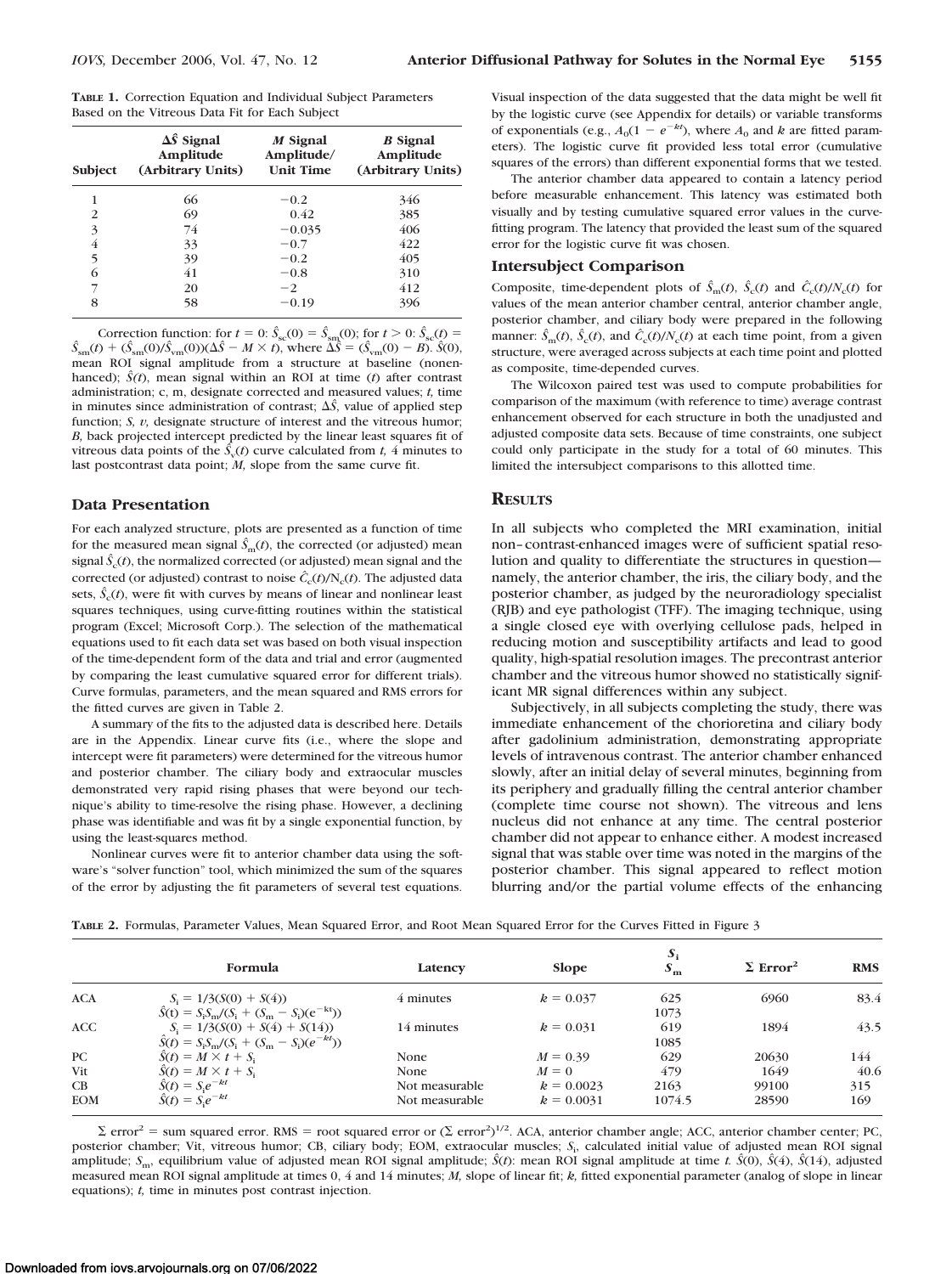**TABLE 1.** Correction Equation and Individual Subject Parameters Based on the Vitreous Data Fit for Each Subject

| Subject        | $\Delta \hat{S}$ Signal<br>Amplitude<br>(Arbitrary Units) | M Signal<br>Amplitude/<br><b>Unit Time</b> | <i>B</i> Signal<br>Amplitude<br>(Arbitrary Units) |  |
|----------------|-----------------------------------------------------------|--------------------------------------------|---------------------------------------------------|--|
| 1              | 66                                                        | $-0.2$                                     | 346                                               |  |
| $\overline{c}$ | 69                                                        | 0.42                                       | 385                                               |  |
| 3              | 74                                                        | $-0.035$                                   | 406                                               |  |
| 4              | 33                                                        | $-0.7$                                     | 422                                               |  |
| 5              | 39                                                        | $-0.2$                                     | 405                                               |  |
| 6              | 41                                                        | $-0.8$                                     | 310                                               |  |
| 7              | 20                                                        | $-2$                                       | 412                                               |  |
| 8              | 58                                                        | $-0.19$                                    | 396                                               |  |

Correction function: for  $t = 0$ :  $\hat{S}_{\text{sc}}(0) = \hat{S}_{\text{sm}}(0)$ ; for  $t > 0$ :  $\hat{S}_{\text{sc}}(t) = \hat{S}_{\text{sm}}(t) + (\hat{S}_{\text{sm}}(0)/\hat{S}_{\text{vm}}(0))(\Delta \hat{S} - M \times t)$ , where  $\Delta \hat{S} = (\hat{S}_{\text{vm}}(0) - B)$ .  $\hat{S}(0)$ , mean ROI signal amplitude from a structure at baseline (nonenhanced);  $\hat{S}(t)$ , mean signal within an ROI at time (*t*) after contrast administration; c, m, designate corrected and measured values; *t,* time in minutes since administration of contrast;  $\Delta \hat{S}$ , value of applied step function; *S, v,* designate structure of interest and the vitreous humor; *B,* back projected intercept predicted by the linear least squares fit of vitreous data points of the  $\hat{S}_y(t)$  curve calculated from *t*, 4 minutes to last postcontrast data point; *M,* slope from the same curve fit.

#### **Data Presentation**

For each analyzed structure, plots are presented as a function of time for the measured mean signal  $\hat{S}_{m}(t)$ , the corrected (or adjusted) mean signal  $\hat{S}_c(t)$ , the normalized corrected (or adjusted) mean signal and the corrected (or adjusted) contrast to noise  $\hat{C}_c(t)/N_c(t)$ . The adjusted data sets,  $\hat{S}_c(t)$ , were fit with curves by means of linear and nonlinear least squares techniques, using curve-fitting routines within the statistical program (Excel; Microsoft Corp.). The selection of the mathematical equations used to fit each data set was based on both visual inspection of the time-dependent form of the data and trial and error (augmented by comparing the least cumulative squared error for different trials). Curve formulas, parameters, and the mean squared and RMS errors for the fitted curves are given in Table 2.

A summary of the fits to the adjusted data is described here. Details are in the Appendix. Linear curve fits (i.e., where the slope and intercept were fit parameters) were determined for the vitreous humor and posterior chamber. The ciliary body and extraocular muscles demonstrated very rapid rising phases that were beyond our technique's ability to time-resolve the rising phase. However, a declining phase was identifiable and was fit by a single exponential function, by using the least-squares method.

Nonlinear curves were fit to anterior chamber data using the software's "solver function" tool, which minimized the sum of the squares of the error by adjusting the fit parameters of several test equations.

Visual inspection of the data suggested that the data might be well fit by the logistic curve (see Appendix for details) or variable transforms of exponentials (e.g.,  $A_0(1 - e^{-kt})$ , where  $A_0$  and  $k$  are fitted parameters). The logistic curve fit provided less total error (cumulative squares of the errors) than different exponential forms that we tested.

The anterior chamber data appeared to contain a latency period before measurable enhancement. This latency was estimated both visually and by testing cumulative squared error values in the curvefitting program. The latency that provided the least sum of the squared error for the logistic curve fit was chosen.

#### **Intersubject Comparison**

Composite, time-dependent plots of  $\hat{S}_{m}(t)$ ,  $\hat{S}_{c}(t)$  and  $\hat{C}_{c}(t)/N_{c}(t)$  for values of the mean anterior chamber central, anterior chamber angle, posterior chamber, and ciliary body were prepared in the following manner:  $\hat{S}_{\text{m}}(t)$ ,  $\hat{S}_{\text{c}}(t)$ , and  $\hat{C}_{\text{c}}(t)/N_{\text{c}}(t)$  at each time point, from a given structure, were averaged across subjects at each time point and plotted as composite, time-depended curves.

The Wilcoxon paired test was used to compute probabilities for comparison of the maximum (with reference to time) average contrast enhancement observed for each structure in both the unadjusted and adjusted composite data sets. Because of time constraints, one subject could only participate in the study for a total of 60 minutes. This limited the intersubject comparisons to this allotted time.

#### **RESULTS**

In all subjects who completed the MRI examination, initial non–contrast-enhanced images were of sufficient spatial resolution and quality to differentiate the structures in question namely, the anterior chamber, the iris, the ciliary body, and the posterior chamber, as judged by the neuroradiology specialist (RJB) and eye pathologist (TFF). The imaging technique, using a single closed eye with overlying cellulose pads, helped in reducing motion and susceptibility artifacts and lead to good quality, high-spatial resolution images. The precontrast anterior chamber and the vitreous humor showed no statistically significant MR signal differences within any subject.

Subjectively, in all subjects completing the study, there was immediate enhancement of the chorioretina and ciliary body after gadolinium administration, demonstrating appropriate levels of intravenous contrast. The anterior chamber enhanced slowly, after an initial delay of several minutes, beginning from its periphery and gradually filling the central anterior chamber (complete time course not shown). The vitreous and lens nucleus did not enhance at any time. The central posterior chamber did not appear to enhance either. A modest increased signal that was stable over time was noted in the margins of the posterior chamber. This signal appeared to reflect motion blurring and/or the partial volume effects of the enhancing

| TABLE 2. Formulas, Parameter Values, Mean Squared Error, and Root Mean Squared Error for the Curves Fitted in Figure 3 |  |  |  |
|------------------------------------------------------------------------------------------------------------------------|--|--|--|
|------------------------------------------------------------------------------------------------------------------------|--|--|--|

|            | Formula                                                                                   | Latency        | <b>Slope</b> | $S_i$<br>$s_{\scriptscriptstyle{\mathsf{m}}}$ | $\Sigma$ Error <sup>2</sup> | <b>RMS</b> |
|------------|-------------------------------------------------------------------------------------------|----------------|--------------|-----------------------------------------------|-----------------------------|------------|
| <b>ACA</b> | $S_i = 1/3(S(0) + S(4))$                                                                  | 4 minutes      | $k = 0.037$  | 625                                           | 6960                        | 83.4       |
| ACC        | $\hat{S}(t) = S_i S_m / (S_i + (S_m - S_i)(e^{-kt}))$<br>$S_i = 1/3(S(0) + S(4) + S(14))$ | 14 minutes     | $k = 0.031$  | 1073<br>619                                   | 1894                        | 43.5       |
|            | $\hat{S}(t) = S_i S_m / (S_i + (S_m - S_i)(e^{-kt}))$                                     |                |              | 1085                                          |                             |            |
| PC         | $\hat{S}(t) = M \times t + S$ .                                                           | None           | $M = 0.39$   | 629                                           | 20630                       | 144        |
| Vit        | $S(t) = M \times t + S$                                                                   | None           | $M=0$        | 479                                           | 1649                        | 40.6       |
| CB         | $\hat{S}(t) = S_i e^{-kt}$                                                                | Not measurable | $k = 0.0023$ | 2163                                          | 99100                       | 315        |
| <b>EOM</b> | $\hat{S}(t) = S_{e}e^{-kt}$                                                               | Not measurable | $k = 0.0031$ | 1074.5                                        | 28590                       | 169        |

 $\Sigma$  error<sup>2</sup> = sum squared error. RMS = root squared error or ( $\Sigma$  error<sup>2</sup>)<sup>1/2</sup>. ACA, anterior chamber angle; ACC, anterior chamber center; PC, posterior chamber; Vit, vitreous humor; CB, ciliary body; EOM, extraocular muscles; *S*<sup>i</sup> , calculated initial value of adjusted mean ROI signal amplitude;  $S_m$ , equilibrium value of adjusted mean ROI signal amplitude;  $\hat{S}(t)$ : mean ROI signal amplitude at time *t.*  $\hat{S}(0)$ ,  $\hat{S}(4)$ ,  $\hat{S}(14)$ , adjusted measured mean ROI signal amplitude at times 0, 4 and 14 minutes; *M,* slope of linear fit; *k,* fitted exponential parameter (analog of slope in linear equations); *t,* time in minutes post contrast injection.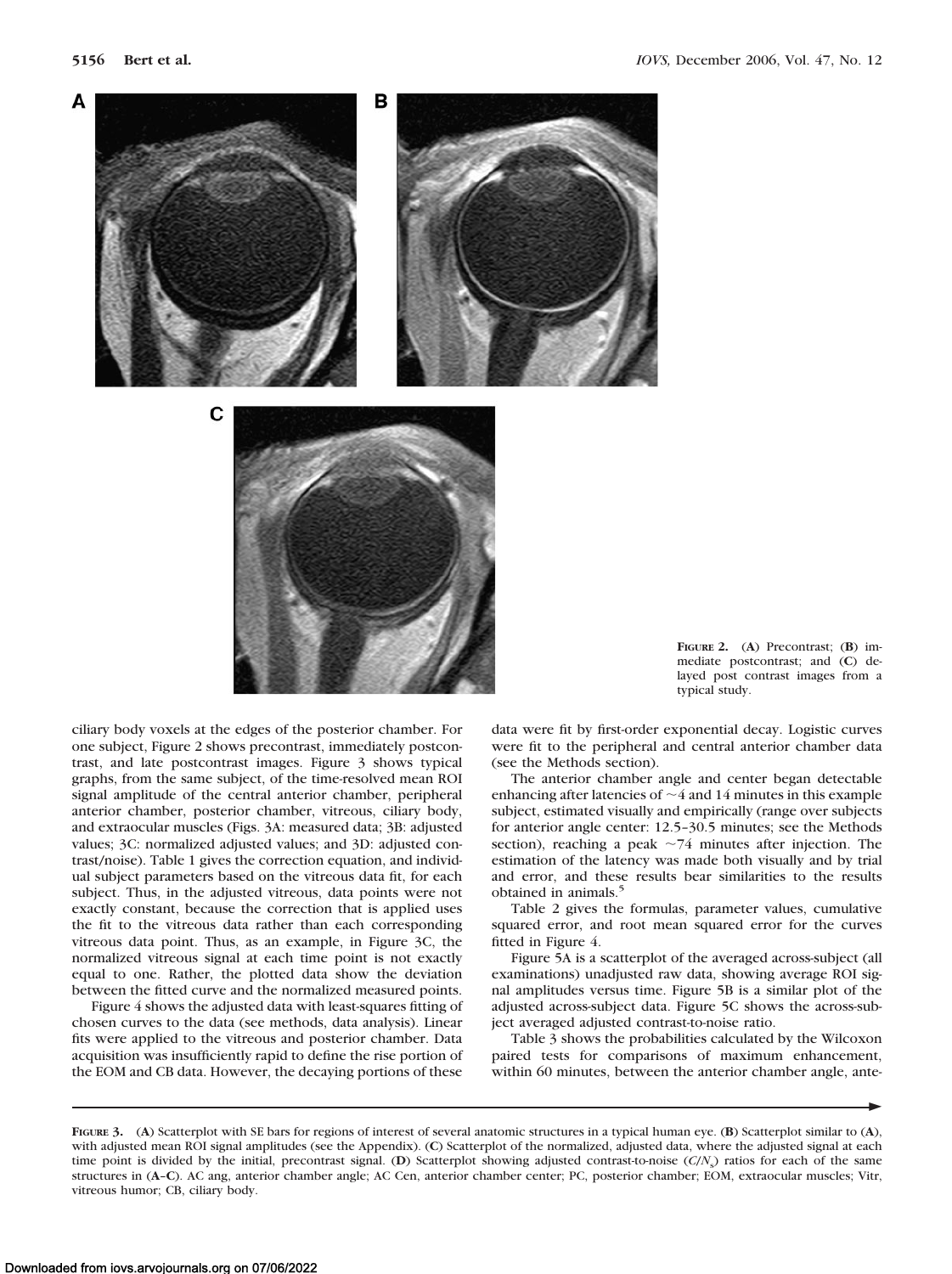

**FIGURE 2.** (**A**) Precontrast; (**B**) immediate postcontrast; and (**C**) delayed post contrast images from a typical study.

‹

ciliary body voxels at the edges of the posterior chamber. For one subject, Figure 2 shows precontrast, immediately postcontrast, and late postcontrast images. Figure 3 shows typical graphs, from the same subject, of the time-resolved mean ROI signal amplitude of the central anterior chamber, peripheral anterior chamber, posterior chamber, vitreous, ciliary body, and extraocular muscles (Figs. 3A: measured data; 3B: adjusted values; 3C: normalized adjusted values; and 3D: adjusted contrast/noise). Table 1 gives the correction equation, and individual subject parameters based on the vitreous data fit, for each subject. Thus, in the adjusted vitreous, data points were not exactly constant, because the correction that is applied uses the fit to the vitreous data rather than each corresponding vitreous data point. Thus, as an example, in Figure 3C, the normalized vitreous signal at each time point is not exactly equal to one. Rather, the plotted data show the deviation between the fitted curve and the normalized measured points.

Figure 4 shows the adjusted data with least-squares fitting of chosen curves to the data (see methods, data analysis). Linear fits were applied to the vitreous and posterior chamber. Data acquisition was insufficiently rapid to define the rise portion of the EOM and CB data. However, the decaying portions of these

data were fit by first-order exponential decay. Logistic curves were fit to the peripheral and central anterior chamber data (see the Methods section).

The anterior chamber angle and center began detectable enhancing after latencies of  $\sim$  4 and 14 minutes in this example subject, estimated visually and empirically (range over subjects for anterior angle center: 12.5–30.5 minutes; see the Methods section), reaching a peak  $\sim$ 74 minutes after injection. The estimation of the latency was made both visually and by trial and error, and these results bear similarities to the results obtained in animals.<sup>5</sup>

Table 2 gives the formulas, parameter values, cumulative squared error, and root mean squared error for the curves fitted in Figure 4.

Figure 5A is a scatterplot of the averaged across-subject (all examinations) unadjusted raw data, showing average ROI signal amplitudes versus time. Figure 5B is a similar plot of the adjusted across-subject data. Figure 5C shows the across-subject averaged adjusted contrast-to-noise ratio.

Table 3 shows the probabilities calculated by the Wilcoxon paired tests for comparisons of maximum enhancement, within 60 minutes, between the anterior chamber angle, ante-

**FIGURE 3.** (**A**) Scatterplot with SE bars for regions of interest of several anatomic structures in a typical human eye. (**B**) Scatterplot similar to (**A**), with adjusted mean ROI signal amplitudes (see the Appendix). (**C**) Scatterplot of the normalized, adjusted data, where the adjusted signal at each time point is divided by the initial, precontrast signal. (**D**) Scatterplot showing adjusted contrast-to-noise  $(C/N<sub>s</sub>)$  ratios for each of the same structures in (**A**–**C**). AC ang, anterior chamber angle; AC Cen, anterior chamber center; PC, posterior chamber; EOM, extraocular muscles; Vitr, vitreous humor; CB, ciliary body.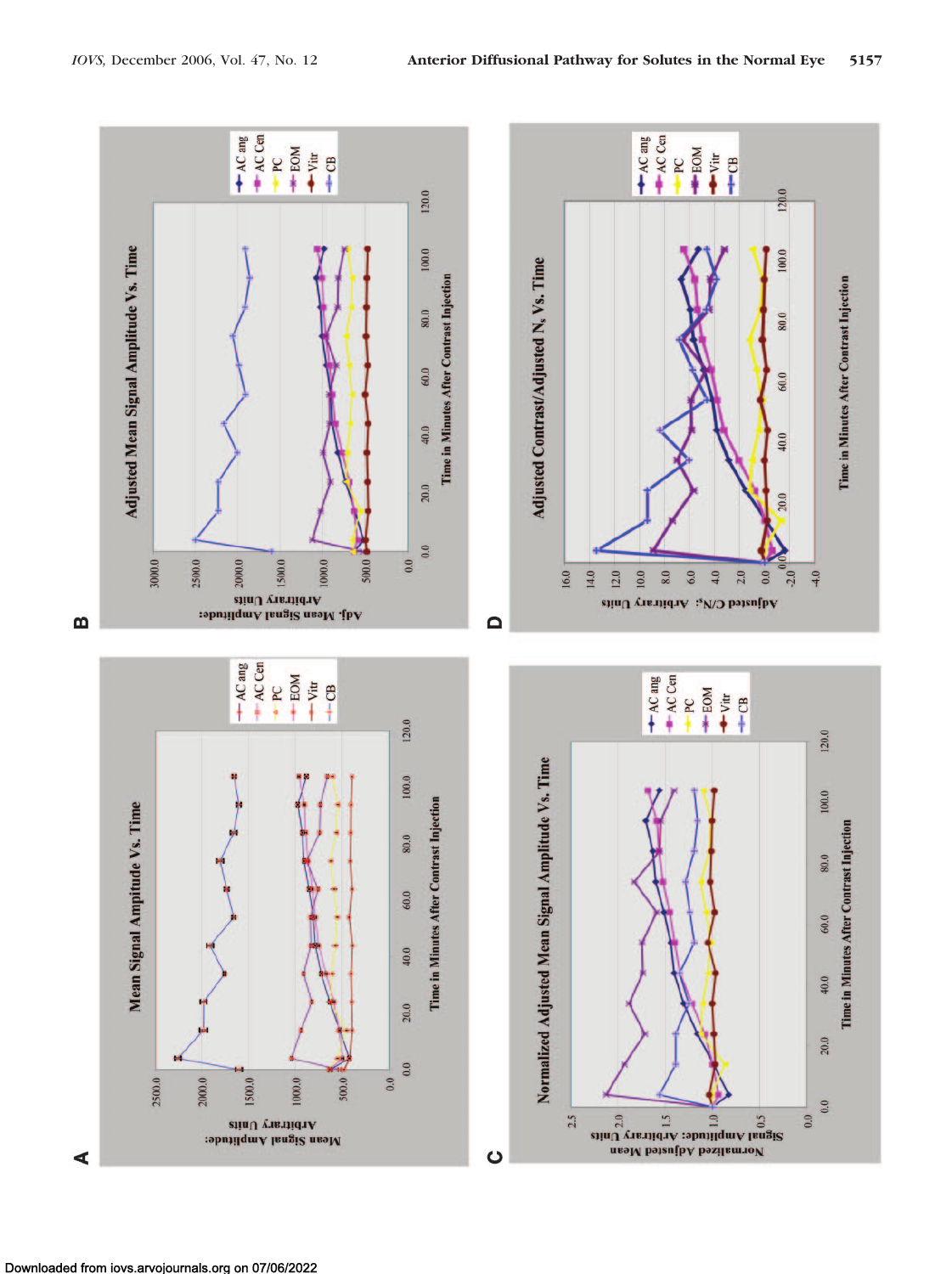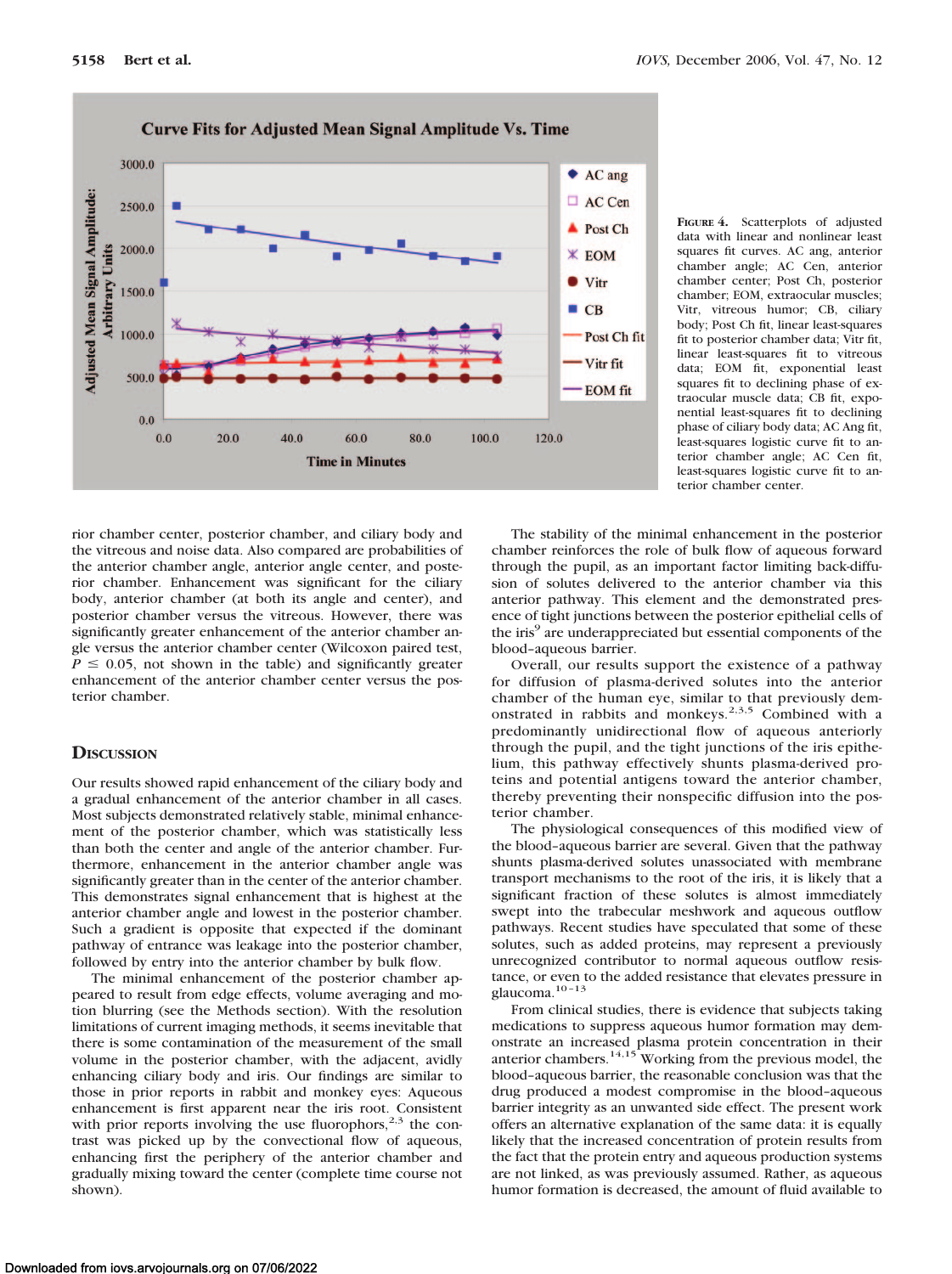

rior chamber center, posterior chamber, and ciliary body and the vitreous and noise data. Also compared are probabilities of the anterior chamber angle, anterior angle center, and posterior chamber. Enhancement was significant for the ciliary body, anterior chamber (at both its angle and center), and posterior chamber versus the vitreous. However, there was significantly greater enhancement of the anterior chamber angle versus the anterior chamber center (Wilcoxon paired test,  $P \leq 0.05$ , not shown in the table) and significantly greater enhancement of the anterior chamber center versus the posterior chamber.

#### **DISCUSSION**

Our results showed rapid enhancement of the ciliary body and a gradual enhancement of the anterior chamber in all cases. Most subjects demonstrated relatively stable, minimal enhancement of the posterior chamber, which was statistically less than both the center and angle of the anterior chamber. Furthermore, enhancement in the anterior chamber angle was significantly greater than in the center of the anterior chamber. This demonstrates signal enhancement that is highest at the anterior chamber angle and lowest in the posterior chamber. Such a gradient is opposite that expected if the dominant pathway of entrance was leakage into the posterior chamber, followed by entry into the anterior chamber by bulk flow.

The minimal enhancement of the posterior chamber appeared to result from edge effects, volume averaging and motion blurring (see the Methods section). With the resolution limitations of current imaging methods, it seems inevitable that there is some contamination of the measurement of the small volume in the posterior chamber, with the adjacent, avidly enhancing ciliary body and iris. Our findings are similar to those in prior reports in rabbit and monkey eyes: Aqueous enhancement is first apparent near the iris root. Consistent with prior reports involving the use fluorophors, $2,3$  the contrast was picked up by the convectional flow of aqueous, enhancing first the periphery of the anterior chamber and gradually mixing toward the center (complete time course not shown).

**FIGURE 4.** Scatterplots of adjusted data with linear and nonlinear least squares fit curves. AC ang, anterior chamber angle; AC Cen, anterior chamber center; Post Ch, posterior chamber; EOM, extraocular muscles; Vitr, vitreous humor; CB, ciliary body; Post Ch fit, linear least-squares fit to posterior chamber data; Vitr fit, linear least-squares fit to vitreous data; EOM fit, exponential least squares fit to declining phase of extraocular muscle data; CB fit, exponential least-squares fit to declining phase of ciliary body data; AC Ang fit, least-squares logistic curve fit to anterior chamber angle; AC Cen fit, least-squares logistic curve fit to anterior chamber center.

The stability of the minimal enhancement in the posterior chamber reinforces the role of bulk flow of aqueous forward through the pupil, as an important factor limiting back-diffusion of solutes delivered to the anterior chamber via this anterior pathway. This element and the demonstrated presence of tight junctions between the posterior epithelial cells of the iris<sup>9</sup> are underappreciated but essential components of the blood–aqueous barrier.

Overall, our results support the existence of a pathway for diffusion of plasma-derived solutes into the anterior chamber of the human eye, similar to that previously demonstrated in rabbits and monkeys.<sup>2,3,5</sup> Combined with a predominantly unidirectional flow of aqueous anteriorly through the pupil, and the tight junctions of the iris epithelium, this pathway effectively shunts plasma-derived proteins and potential antigens toward the anterior chamber, thereby preventing their nonspecific diffusion into the posterior chamber.

The physiological consequences of this modified view of the blood–aqueous barrier are several. Given that the pathway shunts plasma-derived solutes unassociated with membrane transport mechanisms to the root of the iris, it is likely that a significant fraction of these solutes is almost immediately swept into the trabecular meshwork and aqueous outflow pathways. Recent studies have speculated that some of these solutes, such as added proteins, may represent a previously unrecognized contributor to normal aqueous outflow resistance, or even to the added resistance that elevates pressure in glaucoma.10–13

From clinical studies, there is evidence that subjects taking medications to suppress aqueous humor formation may demonstrate an increased plasma protein concentration in their anterior chambers.14,15 Working from the previous model, the blood–aqueous barrier, the reasonable conclusion was that the drug produced a modest compromise in the blood–aqueous barrier integrity as an unwanted side effect. The present work offers an alternative explanation of the same data: it is equally likely that the increased concentration of protein results from the fact that the protein entry and aqueous production systems are not linked, as was previously assumed. Rather, as aqueous humor formation is decreased, the amount of fluid available to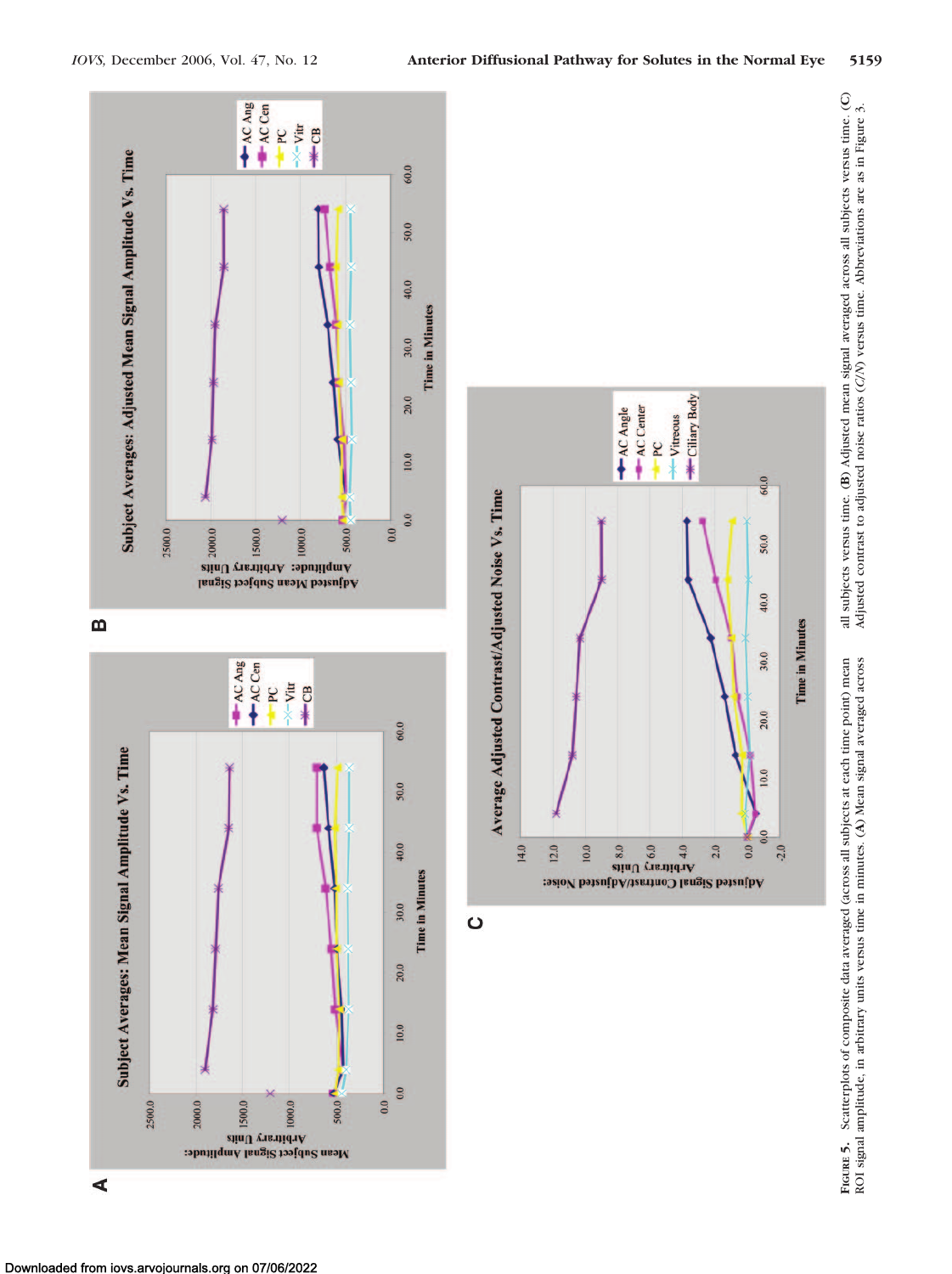**FIGURE 5.** Scatterplots of composite data averaged (across all subjects at each time point) mean ROI signal amplitude, in arbitrary units versus time in minutes. (**A**) Mean signal averaged across

Figure 5. Scatterplots of composite data averaged (across all subjects at each time point) mean ROI signal amplitude, in arbitrary units versus time in minutes. (A) Mean signal averaged across

all subjects versus time. (

Time in Minutes

 $-2.0$ 

Adjusted contrast to adjusted noise ratios (

**B**) Adjusted mean signal averaged across all subjects versus time. (

*C*/*N*) versus time. Abbreviations are as in Figure 3.

all subjects versus time. (B) Adjusted mean signal averaged across all subjects versus time. (C) Adjusted contrast to adjusted noise ratios (C/N) versus time. Abbreviations are as in Figure 3.



⋖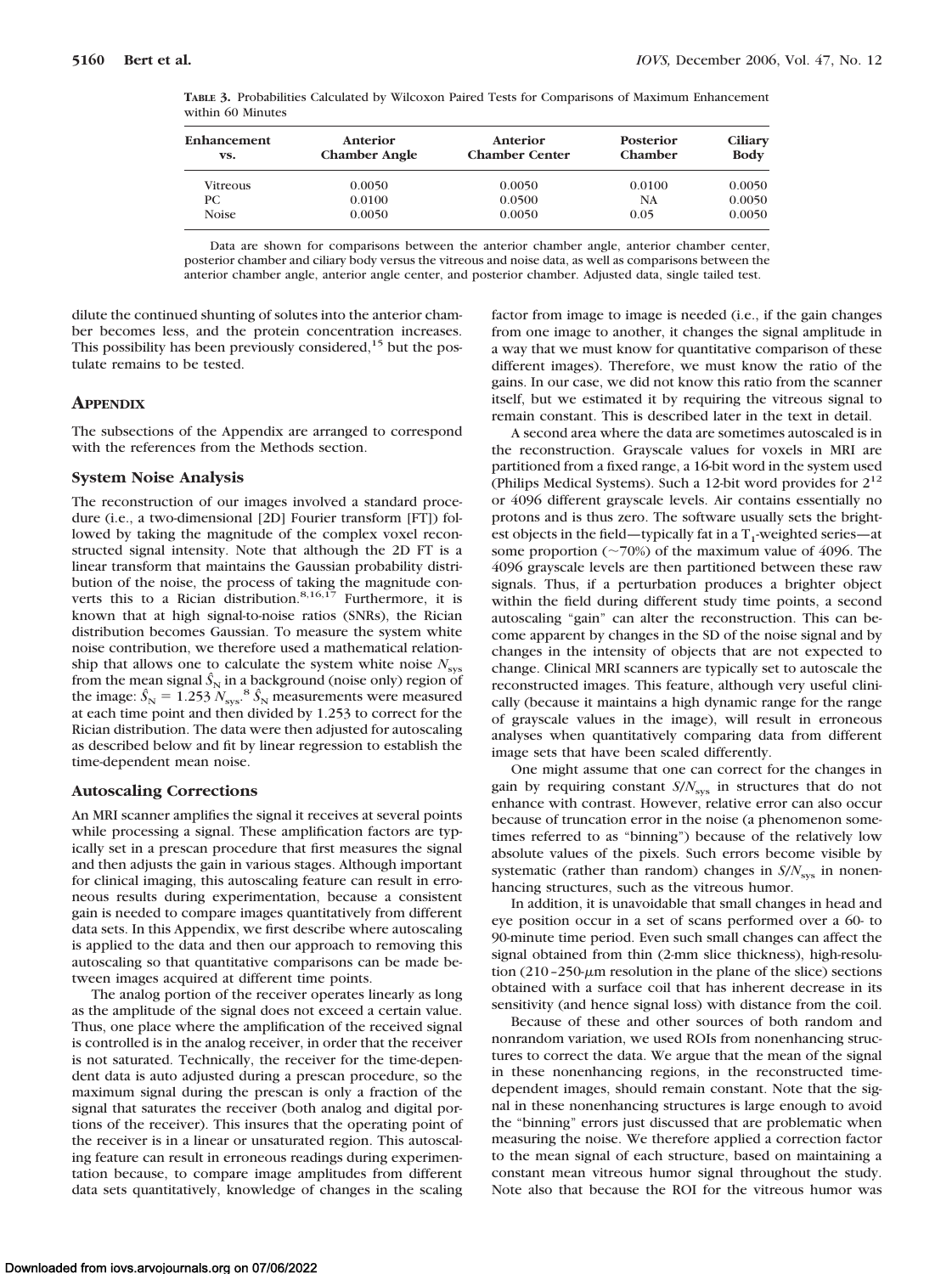| Enhancement<br>VS. | Anterior<br><b>Chamber Angle</b> | Anterior<br><b>Chamber Center</b> | <b>Posterior</b><br>Chamber | Ciliary<br><b>Body</b> |  |
|--------------------|----------------------------------|-----------------------------------|-----------------------------|------------------------|--|
| Vitreous           | 0.0050                           | 0.0050                            | 0.0100                      | 0.0050                 |  |
| РC                 | 0.0100                           | 0.0500                            | <b>NA</b>                   | 0.0050                 |  |
| Noise              | 0.0050                           | 0.0050                            | 0.05                        | 0.0050                 |  |

**TABLE 3.** Probabilities Calculated by Wilcoxon Paired Tests for Comparisons of Maximum Enhancement within 60 Minutes

Data are shown for comparisons between the anterior chamber angle, anterior chamber center, posterior chamber and ciliary body versus the vitreous and noise data, as well as comparisons between the anterior chamber angle, anterior angle center, and posterior chamber. Adjusted data, single tailed test.

dilute the continued shunting of solutes into the anterior chamber becomes less, and the protein concentration increases. This possibility has been previously considered, $15$  but the postulate remains to be tested.

#### **APPENDIX**

The subsections of the Appendix are arranged to correspond with the references from the Methods section.

#### **System Noise Analysis**

The reconstruction of our images involved a standard procedure (i.e., a two-dimensional [2D] Fourier transform [FT]) followed by taking the magnitude of the complex voxel reconstructed signal intensity. Note that although the 2D FT is a linear transform that maintains the Gaussian probability distribution of the noise, the process of taking the magnitude converts this to a Rician distribution.<sup>8,16,17</sup> Furthermore, it is known that at high signal-to-noise ratios (SNRs), the Rician distribution becomes Gaussian. To measure the system white noise contribution, we therefore used a mathematical relationship that allows one to calculate the system white noise  $N_{\rm sys}$ from the mean signal  $\hat{S}_N$  in a background (noise only) region of the image:  $\hat{S}_N = 1.253 N_{sys}$ .<sup>8</sup>  $\hat{S}_N$  measurements were measured at each time point and then divided by 1.253 to correct for the Rician distribution. The data were then adjusted for autoscaling as described below and fit by linear regression to establish the time-dependent mean noise.

#### **Autoscaling Corrections**

An MRI scanner amplifies the signal it receives at several points while processing a signal. These amplification factors are typically set in a prescan procedure that first measures the signal and then adjusts the gain in various stages. Although important for clinical imaging, this autoscaling feature can result in erroneous results during experimentation, because a consistent gain is needed to compare images quantitatively from different data sets. In this Appendix, we first describe where autoscaling is applied to the data and then our approach to removing this autoscaling so that quantitative comparisons can be made between images acquired at different time points.

The analog portion of the receiver operates linearly as long as the amplitude of the signal does not exceed a certain value. Thus, one place where the amplification of the received signal is controlled is in the analog receiver, in order that the receiver is not saturated. Technically, the receiver for the time-dependent data is auto adjusted during a prescan procedure, so the maximum signal during the prescan is only a fraction of the signal that saturates the receiver (both analog and digital portions of the receiver). This insures that the operating point of the receiver is in a linear or unsaturated region. This autoscaling feature can result in erroneous readings during experimentation because, to compare image amplitudes from different data sets quantitatively, knowledge of changes in the scaling

factor from image to image is needed (i.e., if the gain changes from one image to another, it changes the signal amplitude in a way that we must know for quantitative comparison of these different images). Therefore, we must know the ratio of the gains. In our case, we did not know this ratio from the scanner itself, but we estimated it by requiring the vitreous signal to remain constant. This is described later in the text in detail.

A second area where the data are sometimes autoscaled is in the reconstruction. Grayscale values for voxels in MRI are partitioned from a fixed range, a 16-bit word in the system used (Philips Medical Systems). Such a 12-bit word provides for 212 or 4096 different grayscale levels. Air contains essentially no protons and is thus zero. The software usually sets the brightest objects in the field—typically fat in a  $T_1$ -weighted series—at some proportion ( $\sim$ 70%) of the maximum value of 4096. The 4096 grayscale levels are then partitioned between these raw signals. Thus, if a perturbation produces a brighter object within the field during different study time points, a second autoscaling "gain" can alter the reconstruction. This can become apparent by changes in the SD of the noise signal and by changes in the intensity of objects that are not expected to change. Clinical MRI scanners are typically set to autoscale the reconstructed images. This feature, although very useful clinically (because it maintains a high dynamic range for the range of grayscale values in the image), will result in erroneous analyses when quantitatively comparing data from different image sets that have been scaled differently.

One might assume that one can correct for the changes in gain by requiring constant *S*/*N*<sub>sys</sub> in structures that do not enhance with contrast. However, relative error can also occur because of truncation error in the noise (a phenomenon sometimes referred to as "binning") because of the relatively low absolute values of the pixels. Such errors become visible by systematic (rather than random) changes in  $S/N_{\rm sys}$  in nonenhancing structures, such as the vitreous humor.

In addition, it is unavoidable that small changes in head and eye position occur in a set of scans performed over a 60- to 90-minute time period. Even such small changes can affect the signal obtained from thin (2-mm slice thickness), high-resolution  $(210-250\text{-}\mu\text{m}$  resolution in the plane of the slice) sections obtained with a surface coil that has inherent decrease in its sensitivity (and hence signal loss) with distance from the coil.

Because of these and other sources of both random and nonrandom variation, we used ROIs from nonenhancing structures to correct the data. We argue that the mean of the signal in these nonenhancing regions, in the reconstructed timedependent images, should remain constant. Note that the signal in these nonenhancing structures is large enough to avoid the "binning" errors just discussed that are problematic when measuring the noise. We therefore applied a correction factor to the mean signal of each structure, based on maintaining a constant mean vitreous humor signal throughout the study. Note also that because the ROI for the vitreous humor was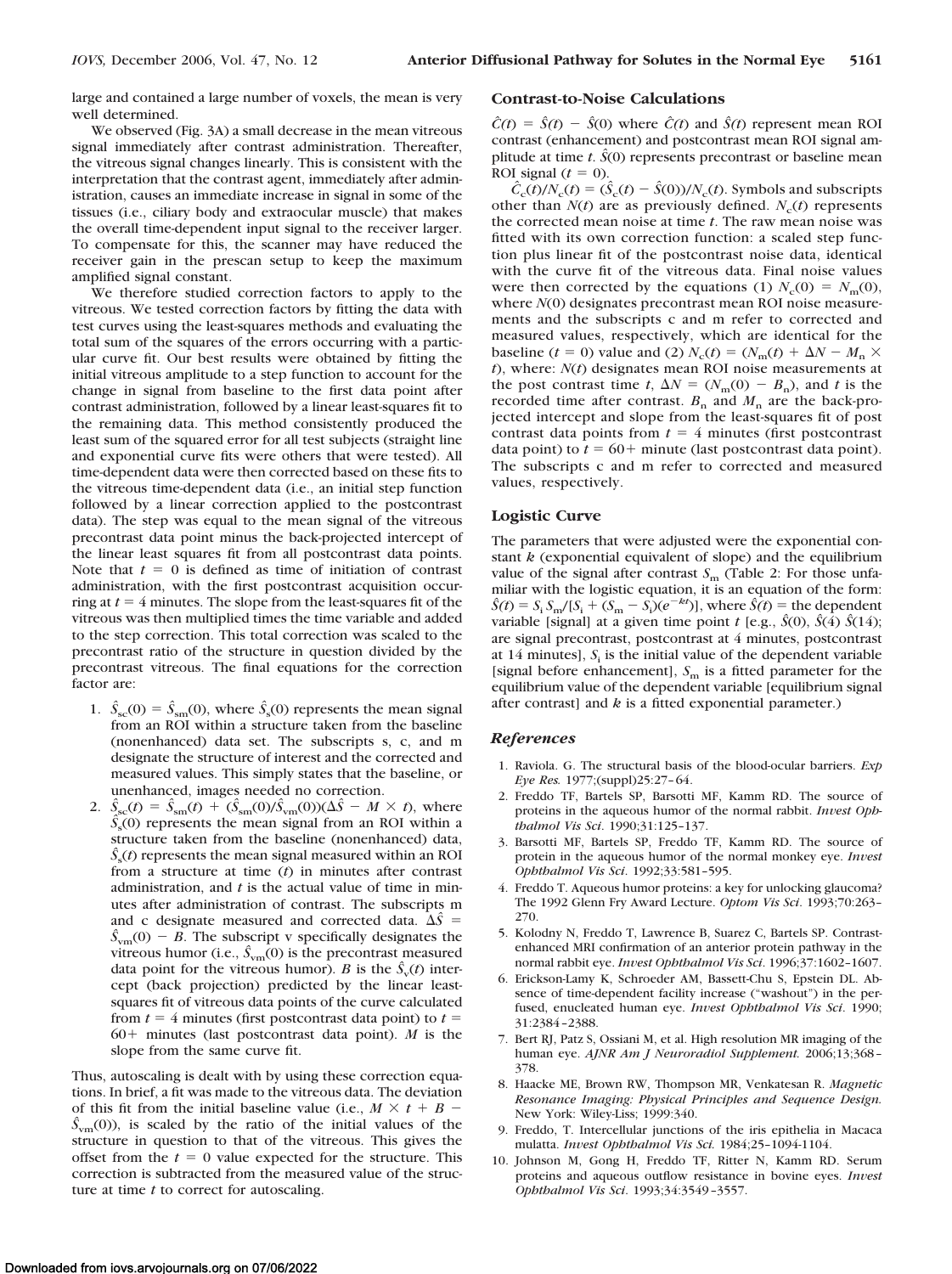large and contained a large number of voxels, the mean is very well determined.

We observed (Fig. 3A) a small decrease in the mean vitreous signal immediately after contrast administration. Thereafter, the vitreous signal changes linearly. This is consistent with the interpretation that the contrast agent, immediately after administration, causes an immediate increase in signal in some of the tissues (i.e., ciliary body and extraocular muscle) that makes the overall time-dependent input signal to the receiver larger. To compensate for this, the scanner may have reduced the receiver gain in the prescan setup to keep the maximum amplified signal constant.

We therefore studied correction factors to apply to the vitreous. We tested correction factors by fitting the data with test curves using the least-squares methods and evaluating the total sum of the squares of the errors occurring with a particular curve fit. Our best results were obtained by fitting the initial vitreous amplitude to a step function to account for the change in signal from baseline to the first data point after contrast administration, followed by a linear least-squares fit to the remaining data. This method consistently produced the least sum of the squared error for all test subjects (straight line and exponential curve fits were others that were tested). All time-dependent data were then corrected based on these fits to the vitreous time-dependent data (i.e., an initial step function followed by a linear correction applied to the postcontrast data). The step was equal to the mean signal of the vitreous precontrast data point minus the back-projected intercept of the linear least squares fit from all postcontrast data points. Note that  $t = 0$  is defined as time of initiation of contrast administration, with the first postcontrast acquisition occurring at  $t = 4$  minutes. The slope from the least-squares fit of the vitreous was then multiplied times the time variable and added to the step correction. This total correction was scaled to the precontrast ratio of the structure in question divided by the precontrast vitreous. The final equations for the correction factor are:

- 1.  $\hat{S}_{\rm sc}(0) = \hat{S}_{\rm sm}(0)$ , where  $\hat{S}_{\rm s}(0)$  represents the mean signal from an ROI within a structure taken from the baseline (nonenhanced) data set. The subscripts s, c, and m designate the structure of interest and the corrected and measured values. This simply states that the baseline, or unenhanced, images needed no correction.
- 2.  $\hat{S}_{\text{sc}}(t) = \hat{S}_{\text{sm}}(t) + (\hat{S}_{\text{sm}}(0)/\hat{S}_{\text{vm}}(0))(\Delta \hat{S} M \times t)$ , where  $\hat{S}_{\text{s}}(0)$  represents the mean signal from an ROI within a structure taken from the baseline (nonenhanced) data,  $\ddot{S}_s(t)$  represents the mean signal measured within an ROI from a structure at time (*t*) in minutes after contrast administration, and *t* is the actual value of time in minutes after administration of contrast. The subscripts m and c designate measured and corrected data.  $\Delta \hat{S} = \hat{S}_{\text{vm}}(0) - B$ . The subscript v specifically designates the vitreous humor (i.e.,  $\hat{S}_{vm}(0)$  is the precontrast measured data point for the vitreous humor). *B* is the  $\hat{S}_y(t)$  intercept (back projection) predicted by the linear leastsquares fit of vitreous data points of the curve calculated from  $t = 4$  minutes (first postcontrast data point) to  $t =$  $60 +$  minutes (last postcontrast data point). *M* is the slope from the same curve fit.

Thus, autoscaling is dealt with by using these correction equations. In brief, a fit was made to the vitreous data. The deviation of this fit from the initial baseline value (i.e.,  $M \times t + B$  - $\hat{S}_{vm}(0)$ , is scaled by the ratio of the initial values of the structure in question to that of the vitreous. This gives the offset from the  $t = 0$  value expected for the structure. This correction is subtracted from the measured value of the structure at time *t* to correct for autoscaling.

### **Contrast-to-Noise Calculations**

 $\hat{C}(t) = \hat{S}(t) - \hat{S}(0)$  where  $\hat{C}(t)$  and  $\hat{S}(t)$  represent mean ROI contrast (enhancement) and postcontrast mean ROI signal amplitude at time  $t$ .  $\hat{S}(0)$  represents precontrast or baseline mean ROI signal  $(t = 0)$ .

 $\hat{C}_c(t)/N_c(t) = (\hat{S}_c(t) - \hat{S}(0))/N_c(t)$ . Symbols and subscripts other than  $N(t)$  are as previously defined.  $N_c(t)$  represents the corrected mean noise at time *t*. The raw mean noise was fitted with its own correction function: a scaled step function plus linear fit of the postcontrast noise data, identical with the curve fit of the vitreous data. Final noise values were then corrected by the equations (1)  $N_c(0) = N_m(0)$ , where *N*(0) designates precontrast mean ROI noise measurements and the subscripts c and m refer to corrected and measured values, respectively, which are identical for the baseline (*t* = 0) value and (2)  $N_c(t) = (N_m(t) + \Delta N - M_n \times$ *t*), where: *N*(*t*) designates mean ROI noise measurements at the post contrast time *t*,  $\Delta N = (N_m(0) - B_n)$ , and *t* is the recorded time after contrast.  $B_n$  and  $M_n$  are the back-projected intercept and slope from the least-squares fit of post contrast data points from  $t = 4$  minutes (first postcontrast data point) to  $t = 60 + \text{minute}$  (last postcontrast data point). The subscripts c and m refer to corrected and measured values, respectively.

#### **Logistic Curve**

The parameters that were adjusted were the exponential constant *k* (exponential equivalent of slope) and the equilibrium value of the signal after contrast  $S<sub>m</sub>$  (Table 2: For those unfamiliar with the logistic equation, it is an equation of the form:  $\hat{S}(t) = S_i S_m/[S_i + (S_m - S_i)(e^{-kt})]$ , where  $\hat{S}(t) =$  the dependent variable [signal] at a given time point  $t$  [e.g.,  $\hat{S}(0)$ ,  $\hat{S}(4)$   $\hat{S}(14)$ ; are signal precontrast, postcontrast at 4 minutes, postcontrast at 14 minutes],  $S_i$  is the initial value of the dependent variable [signal before enhancement],  $S<sub>m</sub>$  is a fitted parameter for the equilibrium value of the dependent variable [equilibrium signal after contrast] and *k* is a fitted exponential parameter.)

#### *References*

- 1. Raviola. G. The structural basis of the blood-ocular barriers. *Exp Eye Res.* 1977;(suppl)25:27–64.
- 2. Freddo TF, Bartels SP, Barsotti MF, Kamm RD. The source of proteins in the aqueous humor of the normal rabbit. *Invest Ophthalmol Vis Sci*. 1990;31:125–137.
- 3. Barsotti MF, Bartels SP, Freddo TF, Kamm RD. The source of protein in the aqueous humor of the normal monkey eye. *Invest Ophthalmol Vis Sci*. 1992;33:581–595.
- 4. Freddo T. Aqueous humor proteins: a key for unlocking glaucoma? The 1992 Glenn Fry Award Lecture. *Optom Vis Sci*. 1993;70:263– 270.
- 5. Kolodny N, Freddo T, Lawrence B, Suarez C, Bartels SP. Contrastenhanced MRI confirmation of an anterior protein pathway in the normal rabbit eye. *Invest Ophthalmol Vis Sci*. 1996;37:1602–1607.
- 6. Erickson-Lamy K, Schroeder AM, Bassett-Chu S, Epstein DL. Absence of time-dependent facility increase ("washout") in the perfused, enucleated human eye. *Invest Ophthalmol Vis Sci*. 1990; 31:2384–2388.
- 7. Bert RJ, Patz S, Ossiani M, et al. High resolution MR imaging of the human eye. *AJNR Am J Neuroradiol Supplement.* 2006;13;368– 378.
- 8. Haacke ME, Brown RW, Thompson MR, Venkatesan R. *Magnetic Resonance Imaging: Physical Principles and Sequence Design.* New York: Wiley-Liss; 1999:340.
- 9. Freddo, T. Intercellular junctions of the iris epithelia in Macaca mulatta. *Invest Ophthalmol Vis Sci.* 1984;25–1094-1104.
- 10. Johnson M, Gong H, Freddo TF, Ritter N, Kamm RD. Serum proteins and aqueous outflow resistance in bovine eyes. *Invest Ophthalmol Vis Sci*. 1993;34:3549–3557.